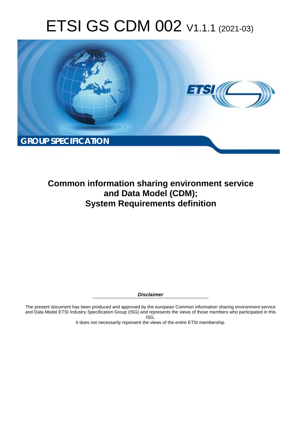# ETSI GS CDM 002 V1.1.1 (2021-03)



# **Common information sharing environment service and Data Model (CDM); System Requirements definition**

*Disclaimer* 

The present document has been produced and approved by the european Common information sharing environment service and Data Model ETSI Industry Specification Group (ISG) and represents the views of those members who participated in this ISG.

It does not necessarily represent the views of the entire ETSI membership.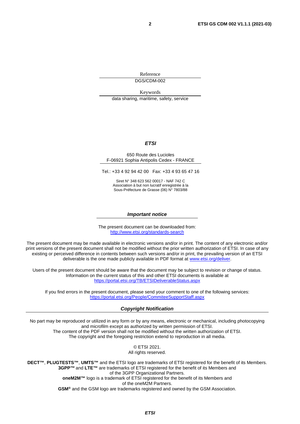Reference DGS/CDM-002

Keywords

data sharing, maritime, safety, service

#### *ETSI*

#### 650 Route des Lucioles F-06921 Sophia Antipolis Cedex - FRANCE

Tel.: +33 4 92 94 42 00 Fax: +33 4 93 65 47 16

Siret N° 348 623 562 00017 - NAF 742 C Association à but non lucratif enregistrée à la Sous-Préfecture de Grasse (06) N° 7803/88

#### *Important notice*

The present document can be downloaded from: <http://www.etsi.org/standards-search>

The present document may be made available in electronic versions and/or in print. The content of any electronic and/or print versions of the present document shall not be modified without the prior written authorization of ETSI. In case of any existing or perceived difference in contents between such versions and/or in print, the prevailing version of an ETSI deliverable is the one made publicly available in PDF format at [www.etsi.org/deliver](http://www.etsi.org/deliver).

Users of the present document should be aware that the document may be subject to revision or change of status. Information on the current status of this and other ETSI documents is available at <https://portal.etsi.org/TB/ETSIDeliverableStatus.aspx>

If you find errors in the present document, please send your comment to one of the following services: <https://portal.etsi.org/People/CommiteeSupportStaff.aspx>

#### *Copyright Notification*

No part may be reproduced or utilized in any form or by any means, electronic or mechanical, including photocopying and microfilm except as authorized by written permission of ETSI. The content of the PDF version shall not be modified without the written authorization of ETSI. The copyright and the foregoing restriction extend to reproduction in all media.

> © ETSI 2021. All rights reserved.

**DECT™**, **PLUGTESTS™**, **UMTS™** and the ETSI logo are trademarks of ETSI registered for the benefit of its Members. **3GPP™** and **LTE™** are trademarks of ETSI registered for the benefit of its Members and of the 3GPP Organizational Partners. **oneM2M™** logo is a trademark of ETSI registered for the benefit of its Members and of the oneM2M Partners. **GSM®** and the GSM logo are trademarks registered and owned by the GSM Association.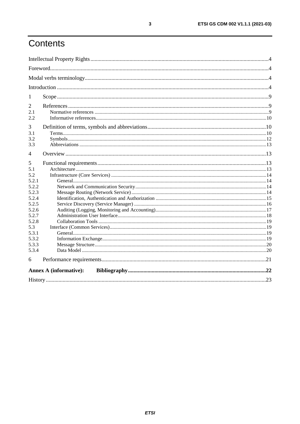# Contents

| 1     |                               |  |
|-------|-------------------------------|--|
| 2     |                               |  |
| 2.1   |                               |  |
| 2.2   |                               |  |
| 3     |                               |  |
| 3.1   |                               |  |
| 3.2   |                               |  |
| 3.3   |                               |  |
| 4     |                               |  |
| 5     |                               |  |
| 5.1   |                               |  |
| 5.2   |                               |  |
| 5.2.1 |                               |  |
| 5.2.2 |                               |  |
| 5.2.3 |                               |  |
| 5.2.4 |                               |  |
| 5.2.5 |                               |  |
| 5.2.6 |                               |  |
| 5.2.7 |                               |  |
| 5.2.8 |                               |  |
| 5.3   |                               |  |
| 5.3.1 |                               |  |
| 5.3.2 |                               |  |
| 5.3.3 |                               |  |
| 5.3.4 |                               |  |
| 6     |                               |  |
|       | <b>Annex A (informative):</b> |  |
|       |                               |  |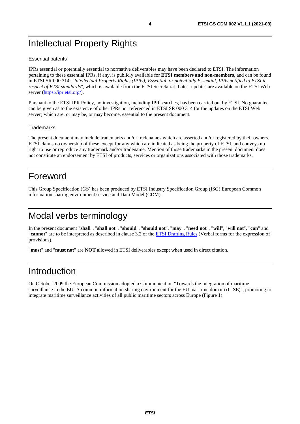# <span id="page-3-0"></span>Intellectual Property Rights

#### Essential patents

IPRs essential or potentially essential to normative deliverables may have been declared to ETSI. The information pertaining to these essential IPRs, if any, is publicly available for **ETSI members and non-members**, and can be found in ETSI SR 000 314: *"Intellectual Property Rights (IPRs); Essential, or potentially Essential, IPRs notified to ETSI in respect of ETSI standards"*, which is available from the ETSI Secretariat. Latest updates are available on the ETSI Web server (<https://ipr.etsi.org/>).

Pursuant to the ETSI IPR Policy, no investigation, including IPR searches, has been carried out by ETSI. No guarantee can be given as to the existence of other IPRs not referenced in ETSI SR 000 314 (or the updates on the ETSI Web server) which are, or may be, or may become, essential to the present document.

#### **Trademarks**

The present document may include trademarks and/or tradenames which are asserted and/or registered by their owners. ETSI claims no ownership of these except for any which are indicated as being the property of ETSI, and conveys no right to use or reproduce any trademark and/or tradename. Mention of those trademarks in the present document does not constitute an endorsement by ETSI of products, services or organizations associated with those trademarks.

# Foreword

This Group Specification (GS) has been produced by ETSI Industry Specification Group (ISG) European Common information sharing environment service and Data Model (CDM).

# Modal verbs terminology

In the present document "**shall**", "**shall not**", "**should**", "**should not**", "**may**", "**need not**", "**will**", "**will not**", "**can**" and "**cannot**" are to be interpreted as described in clause 3.2 of the [ETSI Drafting Rules](https://portal.etsi.org/Services/editHelp!/Howtostart/ETSIDraftingRules.aspx) (Verbal forms for the expression of provisions).

"**must**" and "**must not**" are **NOT** allowed in ETSI deliverables except when used in direct citation.

# Introduction

On October 2009 the European Commission adopted a Communication "Towards the integration of maritime surveillance in the EU: A common information sharing environment for the EU maritime domain (CISE)", promoting to integrate maritime surveillance activities of all public maritime sectors across Europe (Figure 1).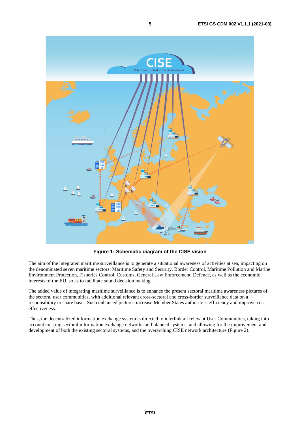

**Figure 1: Schematic diagram of the CISE vision** 

The aim of the integrated maritime surveillance is to generate a situational awareness of activities at sea, impacting on the denominated seven maritime sectors: Maritime Safety and Security, Border Control, Maritime Pollution and Marine Environment Protection, Fisheries Control, Customs, General Law Enforcement, Defence, as well as the economic interests of the EU, so as to facilitate sound decision making.

The added value of integrating maritime surveillance is to enhance the present sectoral maritime awareness pictures of the sectoral user communities, with additional relevant cross-sectoral and cross-border surveillance data on a responsibility to share basis. Such enhanced pictures increase Member States authorities' efficiency and improve cost effectiveness.

Thus, the decentralized information exchange system is directed to interlink all relevant User Communities, taking into account existing sectoral information exchange networks and planned systems, and allowing for the improvement and development of both the existing sectoral systems, and the overarching CISE network architecture (Figure 2).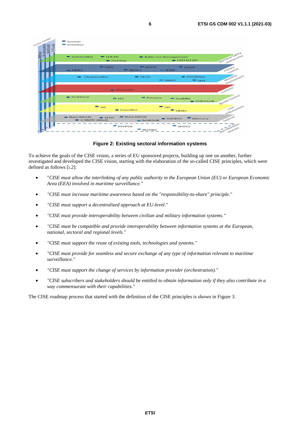| Cross-sector<br>E-TrustEx<br>-BlueMassMed<br>- MARSUNO | System<br><b>O</b> Initiative                                                                                  |  |
|--------------------------------------------------------|----------------------------------------------------------------------------------------------------------------|--|
| <b>IMDate</b>                                          | Moritime Sofery<br>ond Security<br>SafeSeaNet<br><b>THETIS</b><br>Baltic Ice Management<br>LRITEU DC<br>GoFRep |  |
|                                                        | NAFO<br>$\bullet$ VMS<br>$\bullet$ ICCAT<br>Fishery<br>Control<br>NEAFC<br><b>EIDES</b><br>O IFMP              |  |
|                                                        | Maritime<br>Environment<br>CleanSeaNet<br>CECIS<br>EMODNet<br>$\circ$ GMES<br>SES                              |  |
|                                                        | Customs<br>eCustoms                                                                                            |  |
|                                                        | Border Control<br>SeaHorse<br><b>Perseus</b><br>$O$ I <sub>2C</sub><br>SeaBilla<br>$\bullet$ EUROSUR           |  |
|                                                        | Enforcement<br>$\bullet$ vis<br>$\bullet$ sis<br>CoastNet<br>SIENA                                             |  |
|                                                        | Nato MSSIS<br>Defense<br>Nato MCCIS<br>EUSE<br>SUCBAS<br>Mercury<br>$\bullet$ V-RMTC (Med)<br>O MARSUR         |  |
|                                                        | Franz Moritime<br>PEPPOL<br>SPOCS<br><b>OINSPIRE</b>                                                           |  |

**Figure 2: Existing sectoral information systems** 

To achieve the goals of the CISE vision, a series of EU sponsored projects, building up one on another, further investigated and developed the CISE vision, starting with the elaboration of the so-called CISE principles, which were defined as follows [\[i.2](#page-9-0)]:

- "*CISE must allow the interlinking of any public authority in the European Union (EU) or European Economic Area (EEA) involved in maritime surveillance."*
- *"CISE must increase maritime awareness based on the "responsibility-to-share" principle."*
- *"CISE must support a decentralized approach at EU-level."*
- *"CISE must provide interoperability between civilian and military information systems."*
- *"CISE must be compatible and provide interoperability between information systems at the European, national, sectoral and regional levels."*
- *"CISE must support the reuse of existing tools, technologies and systems."*
- *"CISE must provide for seamless and secure exchange of any type of information relevant to maritime surveillance."*
- *"CISE must support the change of services by information provider (orchestration)."*
- *"CISE subscribers and stakeholders should be entitled to obtain information only if they also contribute in a way commensurate with their capabilities."*

The CISE roadmap process that started with the definition of the CISE principles is shown in Figure 3.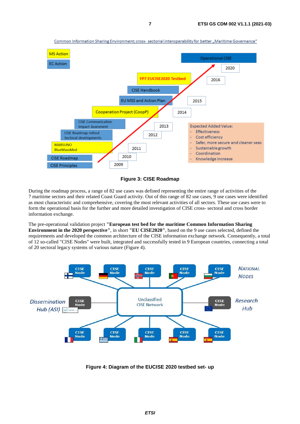

**Figure 3: CISE Roadmap** 

During the roadmap process, a range of 82 use cases was defined representing the entire range of activities of the 7 maritime sectors and their related Coast Guard activity. Out of this range of 82 use cases, 9 use cases were identified as most characteristic and comprehensive, covering the most relevant activities of all sectors. These use cases were to form the operational basis for the further and more detailed investigation of CISE cross- sectoral and cross border information exchange.

The pre-operational validation project **"European test bed for the maritime Common Information Sharing Environment in the 2020 perspective"**, in short **"EU CISE2020"**, based on the 9 use cases selected, defined the requirements and developed the common architecture of the CISE information exchange network. Consequently, a total of 12 so-called "CISE Nodes" were built, integrated and successfully tested in 9 European countries, connecting a total of 20 sectoral legacy systems of various nature (Figure 4).



**Figure 4: Diagram of the EUCISE 2020 testbed set- up**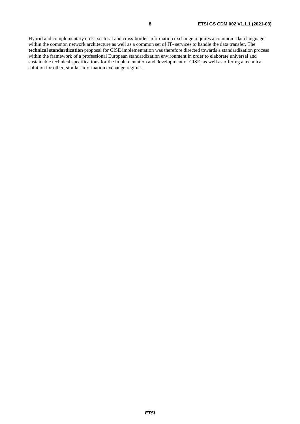Hybrid and complementary cross-sectoral and cross-border information exchange requires a common "data language" within the common network architecture as well as a common set of IT- services to handle the data transfer. The **technical standardization** proposal for CISE implementation was therefore directed towards a standardization process within the framework of a professional European standardization environment in order to elaborate universal and sustainable technical specifications for the implementation and development of CISE, as well as offering a technical solution for other, similar information exchange regimes.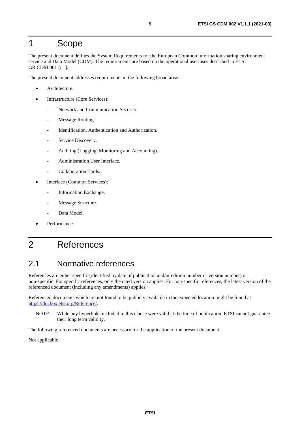# <span id="page-8-0"></span>1 Scope

The present document defines the System Requirements for the European Common information sharing environment service and Data Model (CDM). The requirements are based on the operational use cases described in ETSI GR CDM 001 [\[i.1](#page-9-0)].

The present document addresses requirements in the following broad areas:

- Architecture.
- Infrastructure (Core Services):
	- Network and Communication Security.
	- Message Routing.
	- Identification, Authentication and Authorization.
	- Service Discovery.
	- Auditing (Logging, Monitoring and Accounting).
	- Administration User Interface.
	- Collaboration Tools.
- Interface (Common Services):
	- Information Exchange.
	- Message Structure.
	- Data Model.
- Performance.

# 2 References

# 2.1 Normative references

References are either specific (identified by date of publication and/or edition number or version number) or non-specific. For specific references, only the cited version applies. For non-specific references, the latest version of the referenced document (including any amendments) applies.

Referenced documents which are not found to be publicly available in the expected location might be found at <https://docbox.etsi.org/Reference/>.

NOTE: While any hyperlinks included in this clause were valid at the time of publication, ETSI cannot guarantee their long term validity.

The following referenced documents are necessary for the application of the present document.

Not applicable.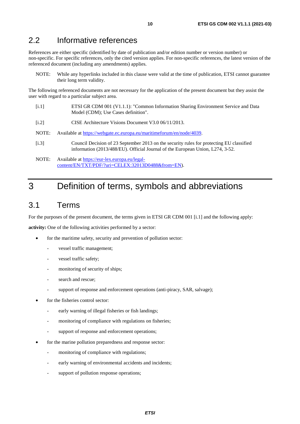## <span id="page-9-0"></span>2.2 Informative references

References are either specific (identified by date of publication and/or edition number or version number) or non-specific. For specific references, only the cited version applies. For non-specific references, the latest version of the referenced document (including any amendments) applies.

NOTE: While any hyperlinks included in this clause were valid at the time of publication, ETSI cannot guarantee their long term validity.

The following referenced documents are not necessary for the application of the present document but they assist the user with regard to a particular subject area.

- [i.1] ETSI GR CDM 001 (V1.1.1): "Common Information Sharing Environment Service and Data Model (CDM); Use Cases definition".
- [i.2] CISE Architecture Visions Document V3.0 06/11/2013.
- NOTE: Available at<https://webgate.ec.europa.eu/maritimeforum/en/node/4039>.
- [i.3] Council Decision of 23 September 2013 on the security rules for protecting EU classified information (2013/488/EU). Official Journal of the European Union, L274, 3-52.
- NOTE: Available at [https://eur-lex.europa.eu/legal](https://eur-lex.europa.eu/legal-content/EN/TXT/PDF/?uri=CELEX:32013D0488&from=EN)[content/EN/TXT/PDF/?uri=CELEX:32013D0488&from=EN](https://eur-lex.europa.eu/legal-content/EN/TXT/PDF/?uri=CELEX:32013D0488&from=EN)).

# 3 Definition of terms, symbols and abbreviations

### 3.1 Terms

For the purposes of the present document, the terms given in ETSI GR CDM 001 [i.1] and the following apply:

**activity:** One of the following activities performed by a sector:

- for the maritime safety, security and prevention of pollution sector:
	- vessel traffic management;
	- vessel traffic safety;
	- monitoring of security of ships;
	- search and rescue:
	- support of response and enforcement operations (anti-piracy, SAR, salvage);
- for the fisheries control sector:
	- early warning of illegal fisheries or fish landings;
	- monitoring of compliance with regulations on fisheries;
	- support of response and enforcement operations;
- for the marine pollution preparedness and response sector:
	- monitoring of compliance with regulations;
	- early warning of environmental accidents and incidents;
	- support of pollution response operations: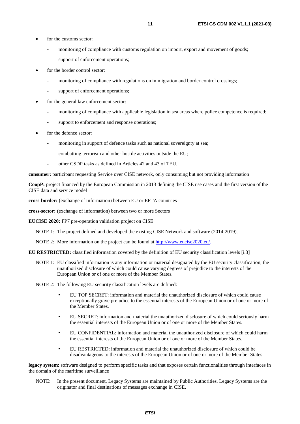- for the customs sector:
	- monitoring of compliance with customs regulation on import, export and movement of goods;
	- support of enforcement operations:
- for the border control sector:
	- monitoring of compliance with regulations on immigration and border control crossings;
	- support of enforcement operations;
- for the general law enforcement sector:
	- monitoring of compliance with applicable legislation in sea areas where police competence is required;
	- support to enforcement and response operations;
- for the defence sector:
	- monitoring in support of defence tasks such as national sovereignty at sea;
	- combatting terrorism and other hostile activities outside the EU;
	- other CSDP tasks as defined in Articles 42 and 43 of TEU.

**consumer:** participant requesting Service over CISE network, only consuming but not providing information

**CoopP:** project financed by the European Commission in 2013 defining the CISE use cases and the first version of the CISE data and service model

**cross-border:** (exchange of information) between EU or EFTA countries

**cross-sector:** (exchange of information) between two or more Sectors

**EUCISE 2020:** FP7 pre-operation validation project on CISE

NOTE 1: The project defined and developed the existing CISE Network and software (2014-2019).

NOTE 2: More information on the project can be found at<http://www.eucise2020.eu/>.

**EU RESTRICTED:** classified information covered by the definition of EU security classification levels [\[i.3](#page-9-0)]

- NOTE 1: EU classified information is any information or material designated by the EU security classification, the unauthorized disclosure of which could cause varying degrees of prejudice to the interests of the European Union or of one or more of the Member States.
- NOTE 2: The following EU security classification levels are defined:
	- EU TOP SECRET: information and material the unauthorized disclosure of which could cause exceptionally grave prejudice to the essential interests of the European Union or of one or more of the Member States.
	- EU SECRET: information and material the unauthorized disclosure of which could seriously harm the essential interests of the European Union or of one or more of the Member States.
	- EU CONFIDENTIAL: information and material the unauthorized disclosure of which could harm the essential interests of the European Union or of one or more of the Member States.
	- EU RESTRICTED: information and material the unauthorized disclosure of which could be disadvantageous to the interests of the European Union or of one or more of the Member States.

**legacy system:** software designed to perform specific tasks and that exposes certain functionalities through interfaces in the domain of the maritime surveillance

NOTE: In the present document, Legacy Systems are maintained by Public Authorities. Legacy Systems are the originator and final destinations of messages exchange in CISE.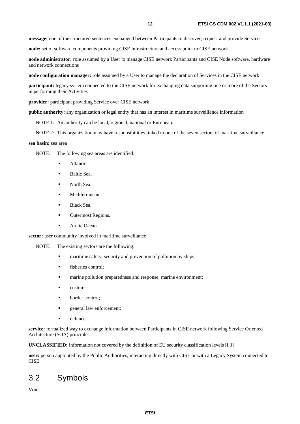<span id="page-11-0"></span>**message:** one of the structured sentences exchanged between Participants to discover, request and provide Services

**node:** set of software components providing CISE infrastructure and access point to CISE network

**node administrator:** role assumed by a User to manage CISE network Participants and CISE Node software, hardware and network connections

**node configuration manager:** role assumed by a User to manage the declaration of Services in the CISE network

**participant:** legacy system connected to the CISE network for exchanging data supporting one or more of the Sectors in performing their Activities

**provider:** participant providing Service over CISE network

**public authority:** any organization or legal entity that has an interest in maritime surveillance information

NOTE 1: An authority can be local, regional, national or European.

NOTE 2: This organization may have responsibilities linked to one of the seven sectors of maritime surveillance.

#### **sea basin:** sea area

NOTE: The following sea areas are identified:

- Atlantic.
- Baltic Sea.
- North Sea.
- Mediterranean.
- Black Sea.
- Outermost Regions.
- Arctic Ocean.

**sector:** user community involved in maritime surveillance

- NOTE: The existing sectors are the following:
	- maritime safety, security and prevention of pollution by ships;<br> $\ddot{ }$
	- fisheries control;
	- marine pollution preparedness and response, marine environment;
	- customs;
	- border control;
	- general law enforcement;
	-

defence.<br>**service:** formalized way to exchange information between Participants in CISE network following Service Oriented Architecture (SOA) principles

**UNCLASSIFIED:** information not covered by the definition of EU security classification levels [[i.3](#page-9-0)]

**user:** person appointed by the Public Authorities, interacting directly with CISE or with a Legacy System connected to **CISE** 

### 3.2 Symbols

Void.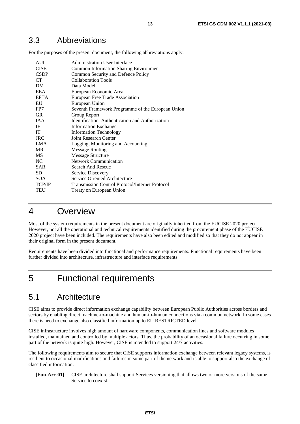# <span id="page-12-0"></span>3.3 Abbreviations

For the purposes of the present document, the following abbreviations apply:

| AUI         | <b>Administration User Interface</b>                   |
|-------------|--------------------------------------------------------|
| <b>CISE</b> | <b>Common Information Sharing Environment</b>          |
| <b>CSDP</b> | Common Security and Defence Policy                     |
| <b>CT</b>   | <b>Collaboration Tools</b>                             |
| DM          | Data Model                                             |
| <b>EEA</b>  | European Economic Area                                 |
| <b>EFTA</b> | European Free Trade Association                        |
| EU          | European Union                                         |
| FP7         | Seventh Framework Programme of the European Union      |
| <b>GR</b>   | Group Report                                           |
| <b>JAA</b>  | Identification, Authentication and Authorization       |
| IE          | <b>Information Exchange</b>                            |
| <b>IT</b>   | <b>Information Technology</b>                          |
| <b>JRC</b>  | <b>Joint Research Center</b>                           |
| LMA         | Logging, Monitoring and Accounting                     |
| <b>MR</b>   | <b>Message Routing</b>                                 |
| <b>MS</b>   | <b>Message Structure</b>                               |
| NC.         | <b>Network Communication</b>                           |
| SAR.        | Search And Rescue                                      |
| <b>SD</b>   | Service Discovery                                      |
| SOA         | Service Oriented Architecture                          |
| TCP/IP      | <b>Transmission Control Protocol/Internet Protocol</b> |
| TEU         | Treaty on European Union                               |

# 4 Overview

Most of the system requirements in the present document are originally inherited from the EUCISE 2020 project. However, not all the operational and technical requirements identified during the procurement phase of the EUCISE 2020 project have been included. The requirements have also been edited and modified so that they do not appear in their original form in the present document.

Requirements have been divided into functional and performance requirements. Functional requirements have been further divided into architecture, infrastructure and interface requirements.

# 5 Functional requirements

# 5.1 Architecture

CISE aims to provide direct information exchange capability between European Public Authorities across borders and sectors by enabling direct machine-to-machine and human-to-human connections via a common network. In some cases there is need to exchange also classified information up to EU RESTRICTED level.

CISE infrastructure involves high amount of hardware components, communication lines and software modules installed, maintained and controlled by multiple actors. Thus, the probability of an occasional failure occurring in some part of the network is quite high. However, CISE is intended to support 24/7 activities.

The following requirements aim to secure that CISE supports information exchange between relevant legacy systems, is resilient to occasional modifications and failures in some part of the network and is able to support also the exchange of classified information:

#### **[Fun-Arc-01]** CISE architecture shall support Services versioning that allows two or more versions of the same Service to coexist.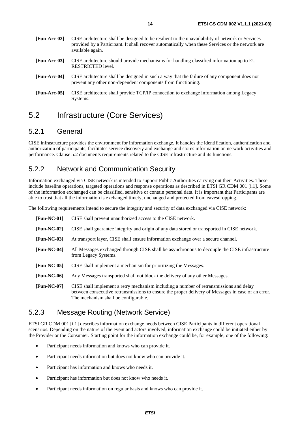- <span id="page-13-0"></span>**[Fun-Arc-03]** CISE architecture should provide mechanisms for handling classified information up to EU RESTRICTED level.
- **[Fun-Arc-04]** CISE architecture shall be designed in such a way that the failure of any component does not prevent any other non-dependent components from functioning.
- **[Fun-Arc-05]** CISE architecture shall provide TCP/IP connection to exchange information among Legacy Systems.

# 5.2 Infrastructure (Core Services)

available again.

### 5.2.1 General

CISE infrastructure provides the environment for information exchange. It handles the identification, authentication and authorization of participants, facilitates service discovery and exchange and stores information on network activities and performance. Clause 5.2 documents requirements related to the CISE infrastructure and its functions.

### 5.2.2 Network and Communication Security

Information exchanged via CISE network is intended to support Public Authorities carrying out their Activities. These include baseline operations, targeted operations and response operations as described in ETSI GR CDM 001 [\[i.1](#page-9-0)]. Some of the information exchanged can be classified, sensitive or contain personal data. It is important that Participants are able to trust that all the information is exchanged timely, unchanged and protected from eavesdropping.

The following requirements intend to secure the integrity and security of data exchanged via CISE network:

| $[Fun-NC-01]$ | CISE shall prevent unauthorized access to the CISE network.                                                                                                                                                                          |
|---------------|--------------------------------------------------------------------------------------------------------------------------------------------------------------------------------------------------------------------------------------|
| $[Fun-NC-02]$ | CISE shall guarantee integrity and origin of any data stored or transported in CISE network.                                                                                                                                         |
| $[Fun-NC-03]$ | At transport layer, CISE shall ensure information exchange over a secure channel.                                                                                                                                                    |
| $[Fun-NC-04]$ | All Messages exchanged through CISE shall be asynchronous to decouple the CISE infrastructure<br>from Legacy Systems.                                                                                                                |
| $[Fun-NC-05]$ | CISE shall implement a mechanism for prioritizing the Messages.                                                                                                                                                                      |
| $[Fun-NC-06]$ | Any Messages transported shall not block the delivery of any other Messages.                                                                                                                                                         |
| $[Fun-NC-07]$ | CISE shall implement a retry mechanism including a number of retransmissions and delay<br>between consecutive retransmissions to ensure the proper delivery of Messages in case of an error.<br>The mechanism shall be configurable. |

### 5.2.3 Message Routing (Network Service)

ETSI GR CDM 001 [\[i.1](#page-9-0)] describes information exchange needs between CISE Participants in different operational scenarios. Depending on the nature of the event and actors involved, information exchange could be initiated either by the Provider or the Consumer. Starting point for the information exchange could be, for example, one of the following:

- Participant needs information and knows who can provide it.
- Participant needs information but does not know who can provide it.
- Participant has information and knows who needs it.
- Participant has information but does not know who needs it.
- Participant needs information on regular basis and knows who can provide it.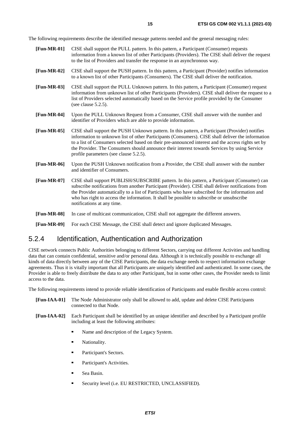<span id="page-14-0"></span>The following requirements describe the identified message patterns needed and the general messaging rules:

- **[Fun-MR-01]** CISE shall support the PULL pattern. In this pattern, a Participant (Consumer) requests information from a known list of other Participants (Providers). The CISE shall deliver the request to the list of Providers and transfer the response in an asynchronous way.
- **[Fun-MR-02]** CISE shall support the PUSH pattern. In this pattern, a Participant (Provider) notifies information to a known list of other Participants (Consumers). The CISE shall deliver the notification.
- **[Fun-MR-03]** CISE shall support the PULL Unknown pattern. In this pattern, a Participant (Consumer) request information from unknown list of other Participants (Providers). CISE shall deliver the request to a list of Providers selected automatically based on the Service profile provided by the Consumer (see clause 5.2.5).
- **[Fun-MR-04]** Upon the PULL Unknown Request from a Consumer, CISE shall answer with the number and identifier of Providers which are able to provide information.
- **[Fun-MR-05]** CISE shall support the PUSH Unknown pattern. In this pattern, a Participant (Provider) notifies information to unknown list of other Participants (Consumers). CISE shall deliver the information to a list of Consumers selected based on their pre-announced interest and the access rights set by the Provider. The Consumers should announce their interest towards Services by using Service profile parameters (see clause 5.2.5).
- **[Fun-MR-06]** Upon the PUSH Unknown notification from a Provider, the CISE shall answer with the number and identifier of Consumers.
- **[Fun-MR-07]** CISE shall support PUBLISH/SUBSCRIBE pattern. In this pattern, a Participant (Consumer) can subscribe notifications from another Participant (Provider). CISE shall deliver notifications from the Provider automatically to a list of Participants who have subscribed for the information and who has right to access the information. It shall be possible to subscribe or unsubscribe notifications at any time.
- **[Fun-MR-08]** In case of multicast communication, CISE shall not aggregate the different answers.
- **[Fun-MR-09]** For each CISE Message, the CISE shall detect and ignore duplicated Messages.

#### 5.2.4 Identification, Authentication and Authorization

CISE network connects Public Authorities belonging to different Sectors, carrying out different Activities and handling data that can contain confidential, sensitive and/or personal data. Although it is technically possible to exchange all kinds of data directly between any of the CISE Participants, the data exchange needs to respect information exchange agreements. Thus it is vitally important that all Participants are uniquely identified and authenticated. In some cases, the Provider is able to freely distribute the data to any other Participant, but in some other cases, the Provider needs to limit access to the data.

The following requirements intend to provide reliable identification of Participants and enable flexible access control:

- **[Fun-IAA-01]** The Node Administrator only shall be allowed to add, update and delete CISE Participants connected to that Node.
- **[Fun-IAA-02]** Each Participant shall be identified by an unique identifier and described by a Participant profile including at least the following attributes:
	- Name and description of the Legacy System.
	- Nationality.
	- Participant's Sectors.
	- Participant's Activities.
	- Sea Basin.
	- Security level (i.e. EU RESTRICTED, UNCLASSIFIED).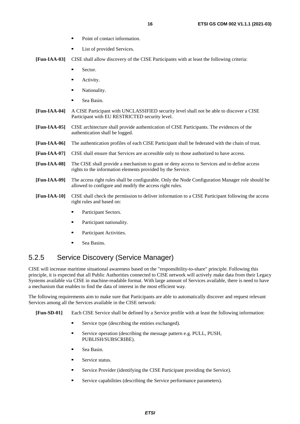- Point of contact information.<br>■ I ist of provided Services
- List of provided Services.
- <span id="page-15-0"></span>**[Fun-IAA-03]** CISE shall allow discovery of the CISE Participants with at least the following criteria:
	- Sector.
	- Activity.
	- Nationality.
	- Sea Basin.
- **[Fun-IAA-04]** A CISE Participant with UNCLASSIFIED security level shall not be able to discover a CISE Participant with EU RESTRICTED security level.
- **[Fun-IAA-05]** CISE architecture shall provide authentication of CISE Participants. The evidences of the authentication shall be logged.
- **[Fun-IAA-06]** The authentication profiles of each CISE Participant shall be federated with the chain of trust.
- **[Fun-IAA-07]** CISE shall ensure that Services are accessible only to those authorized to have access.
- **[Fun-IAA-08]** The CISE shall provide a mechanism to grant or deny access to Services and to define access rights to the information elements provided by the Service.
- **[Fun-IAA-09]** The access right rules shall be configurable. Only the Node Configuration Manager role should be allowed to configure and modify the access right rules.
- **[Fun-IAA-10]** CISE shall check the permission to deliver information to a CISE Participant following the access right rules and based on:
	- Participant Sectors.
	- Participant nationality.
	- Participant Activities.
	- Sea Basins.

### 5.2.5 Service Discovery (Service Manager)

CISE will increase maritime situational awareness based on the "responsibility-to-share" principle. Following this principle, it is expected that all Public Authorities connected to CISE network will actively make data from their Legacy Systems available via CISE in machine-readable format. With large amount of Services available, there is need to have a mechanism that enables to find the data of interest in the most efficient way.

The following requirements aim to make sure that Participants are able to automatically discover and request relevant Services among all the Services available in the CISE network:

**[Fun-SD-01]** Each CISE Service shall be defined by a Service profile with at least the following information:

- Service type (describing the entities exchanged).
- Service operation (describing the message pattern e.g. PULL, PUSH, PUBLISH/SUBSCRIBE).
- Sea Basin.
- Service status.
- Service Provider (identifying the CISE Participant providing the Service).
- Service capabilities (describing the Service performance parameters).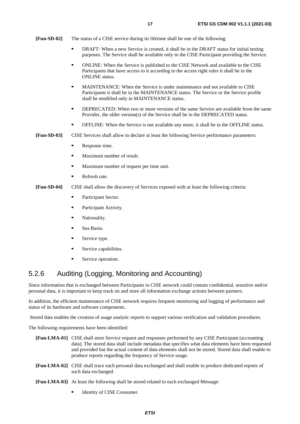<span id="page-16-0"></span>**[Fun-SD-02]** The status of a CISE service during its lifetime shall be one of the following:

- DRAFT: When a new Service is created, it shall be in the DRAFT status for initial testing purposes. The Service shall be available only to the CISE Participant providing the Service.
- ONLINE: When the Service is published to the CISE Network and available to the CISE Participants that have access to it according to the access right rules it shall be in the ONLINE status.
- MAINTENANCE: When the Service is under maintenance and not available to CISE Participants it shall be in the MAINTENANCE status. The Service or the Service profile shall be modified only in MAINTENANCE status.
- DEPRECATED: When two or more versions of the same Service are available from the same Provider, the older version(s) of the Service shall be in the DEPRECATED status.
- OFFLINE: When the Service is not available any more, it shall be in the OFFLINE status.
- **[Fun-SD-03]** CISE Services shall allow to declare at least the following Service performance parameters:
	- Response time.
	- Maximum number of result.
	- Maximum number of request per time unit.
	- Refresh rate.
- **[Fun-SD-04]** CISE shall allow the discovery of Services exposed with at least the following criteria:
	- Participant Sector.
	- Participant Activity.
	- Nationality.
	- Sea Basin.
	- Service type.
	- Service capabilities.
	- Service operation.

### 5.2.6 Auditing (Logging, Monitoring and Accounting)

Since information that is exchanged between Participants in CISE network could contain confidential, sensitive and/or personal data, it is important to keep track on and store all information exchange actions between partners.

In addition, the efficient maintenance of CISE network requires frequent monitoring and logging of performance and status of its hardware and software components.

Stored data enables the creation of usage analytic reports to support various verification and validation procedures.

The following requirements have been identified:

- **[Fun-LMA-01]** CISE shall store Service request and responses performed by any CISE Participant (accounting data). The stored data shall include metadata that specifies what data elements have been requested and provided but the actual content of data elements shall not be stored. Stored data shall enable to produce reports regarding the frequency of Service usage.
- **[Fun-LMA-02]** CISE shall trace each personal data exchanged and shall enable to produce dedicated reports of such data exchanged.
- **[Fun-LMA-03]** At least the following shall be stored related to each exchanged Message:
	- Identity of CISE Consumer.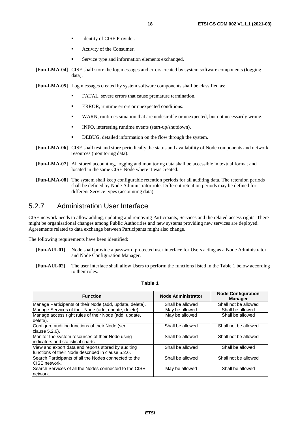- Identity of CISE Provider.
- Activity of the Consumer.
- Service type and information elements exchanged.
- <span id="page-17-0"></span>**[Fun-LMA-04]** CISE shall store the log messages and errors created by system software components (logging data).
- **[Fun-LMA-05]** Log messages created by system software components shall be classified as:
	- FATAL, severe errors that cause premature termination.
	- ERROR, runtime errors or unexpected conditions.
	- WARN, runtimes situation that are undesirable or unexpected, but not necessarily wrong.<br>
	NEO interesting runtime events (stert un/shutdown)
	- INFO, interesting runtime events (start-up/shutdown).
	- DEBUG, detailed information on the flow through the system.
- **[Fun-LMA-06]** CISE shall test and store periodically the status and availability of Node components and network resources (monitoring data).
- **[Fun-LMA-07]** All stored accounting, logging and monitoring data shall be accessible in textual format and located in the same CISE Node where it was created.
- **[Fun-LMA-08]** The system shall keep configurable retention periods for all auditing data. The retention periods shall be defined by Node Administrator role. Different retention periods may be defined for different Service types (accounting data).

### 5.2.7 Administration User Interface

CISE network needs to allow adding, updating and removing Participants, Services and the related access rights. There might be organisational changes among Public Authorities and new systems providing new services are deployed. Agreements related to data exchange between Participants might also change.

The following requirements have been identified:

- **[Fun-AUI-01]** Node shall provide a password protected user interface for Users acting as a Node Administrator and Node Configuration Manager.
- **[Fun-AUI-02]** The user interface shall allow Users to perform the functions listed in the Table 1 below according to their roles.

| <b>Function</b>                                                                                           | <b>Node Administrator</b> | <b>Node Configuration</b><br><b>Manager</b> |
|-----------------------------------------------------------------------------------------------------------|---------------------------|---------------------------------------------|
| Manage Participants of their Node (add, update, delete).                                                  | Shall be allowed          | Shall not be allowed                        |
| Manage Services of their Node (add, update, delete).                                                      | May be allowed            | Shall be allowed                            |
| Manage access right rules of their Node (add, update,<br>delete).                                         | May be allowed            | Shall be allowed                            |
| Configure auditing functions of their Node (see<br>clause 5.2.6).                                         | Shall be allowed          | Shall not be allowed                        |
| Monitor the system resources of their Node using<br>indicators and statistical charts.                    | Shall be allowed          | Shall not be allowed                        |
| View and export data and reports stored by auditing<br>functions of their Node described in clause 5.2.6. | Shall be allowed          | Shall be allowed                            |
| Search Participants of all the Nodes connected to the<br>CISE network.                                    | Shall be allowed          | Shall not be allowed                        |
| Search Services of all the Nodes connected to the CISE<br>network.                                        | May be allowed            | Shall be allowed                            |

#### **Table 1**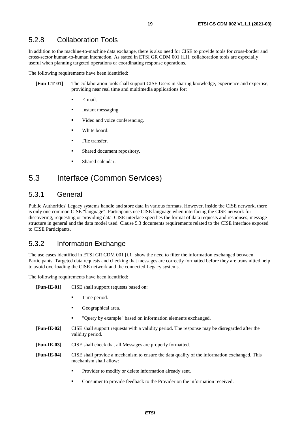### <span id="page-18-0"></span>5.2.8 Collaboration Tools

In addition to the machine-to-machine data exchange, there is also need for CISE to provide tools for cross-border and cross-sector human-to-human interaction. As stated in ETSI GR CDM 001 [\[i.1](#page-9-0)], collaboration tools are especially useful when planning targeted operations or coordinating response operations.

The following requirements have been identified:

- **[Fun-CT-01]** The collaboration tools shall support CISE Users in sharing knowledge, experience and expertise, providing near real time and multimedia applications for:
	- E-mail.
	- Instant messaging.
	- Video and voice conferencing.
	- White board.
	- File transfer.
	- Shared document repository.
	- Shared calendar.

### 5.3 Interface (Common Services)

#### 5.3.1 General

Public Authorities' Legacy systems handle and store data in various formats. However, inside the CISE network, there is only one common CISE "language". Participants use CISE language when interfacing the CISE network for discovering, requesting or providing data. CISE interface specifies the format of data requests and responses, message structure in general and the data model used. Clause 5.3 documents requirements related to the CISE interface exposed to CISE Participants.

#### 5.3.2 Information Exchange

The use cases identified in ETSI GR CDM 001 [\[i.1](#page-9-0)] show the need to filter the information exchanged between Participants. Targeted data requests and checking that messages are correctly formatted before they are transmitted help to avoid overloading the CISE network and the connected Legacy systems.

The following requirements have been identified:

- **[Fun-IE-01]** CISE shall support requests based on:
	- Time period.
	- Geographical area.
	- "Query by example" based on information elements exchanged.
- **[Fun-IE-02]** CISE shall support requests with a validity period. The response may be disregarded after the validity period.
- **[Fun-IE-03]** CISE shall check that all Messages are properly formatted.
- **[Fun-IE-04]** CISE shall provide a mechanism to ensure the data quality of the information exchanged. This mechanism shall allow:
	- Provider to modify or delete information already sent.
	- Consumer to provide feedback to the Provider on the information received.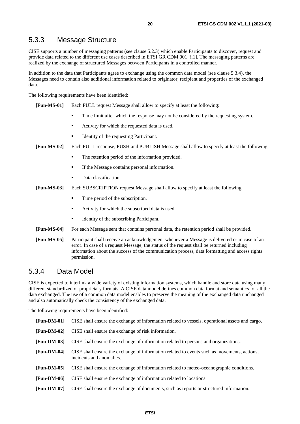### <span id="page-19-0"></span>5.3.3 Message Structure

CISE supports a number of messaging patterns (see clause 5.2.3) which enable Participants to discover, request and provide data related to the different use cases described in ETSI GR CDM 001 [\[i.1](#page-9-0)]. The messaging patterns are realized by the exchange of structured Messages between Participants in a controlled manner.

In addition to the data that Participants agree to exchange using the common data model (see clause 5.3.4), the Messages need to contain also additional information related to originator, recipient and properties of the exchanged data.

The following requirements have been identified:

**[Fun-MS-01]** Each PULL request Message shall allow to specify at least the following:

- Time limit after which the response may not be considered by the requesting system.
- Activity for which the requested data is used.
- Identity of the requesting Participant.

**[Fun-MS-02]** Each PULL response, PUSH and PUBLISH Message shall allow to specify at least the following:

- The retention period of the information provided.
- If the Message contains personal information.
- Data classification.
- **[Fun-MS-03]** Each SUBSCRIPTION request Message shall allow to specify at least the following:
	- Time period of the subscription.
	- Activity for which the subscribed data is used.
	- Identity of the subscribing Participant.
- **[Fun-MS-04]** For each Message sent that contains personal data, the retention period shall be provided.
- **[Fun-MS-05]** Participant shall receive an acknowledgement whenever a Message is delivered or in case of an error. In case of a request Message, the status of the request shall be returned including information about the success of the communication process, data formatting and access rights permission.

#### 5.3.4 Data Model

CISE is expected to interlink a wide variety of existing information systems, which handle and store data using many different standardized or proprietary formats. A CISE data model defines common data format and semantics for all the data exchanged. The use of a common data model enables to preserve the meaning of the exchanged data unchanged and also automatically check the consistency of the exchanged data.

The following requirements have been identified:

**[Fun-DM-01]** CISE shall ensure the exchange of information related to vessels, operational assets and cargo. **[Fun-DM-02]** CISE shall ensure the exchange of risk information. **[Fun-DM-03]** CISE shall ensure the exchange of information related to persons and organizations. **[Fun-DM-04]** CISE shall ensure the exchange of information related to events such as movements, actions, incidents and anomalies. **[Fun-DM-05]** CISE shall ensure the exchange of information related to meteo-oceanographic conditions. **[Fun-DM-06]** CISE shall ensure the exchange of information related to locations. **[Fun-DM-07]** CISE shall ensure the exchange of documents, such as reports or structured information.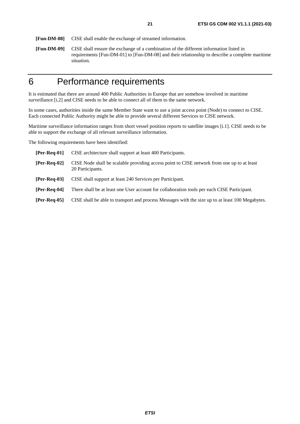<span id="page-20-0"></span>**[Fun-DM-08]** CISE shall enable the exchange of streamed information.

**[Fun-DM-09]** CISE shall ensure the exchange of a combination of the different information listed in requirements [Fun-DM-01] to [Fun-DM-08] and their relationship to describe a complete maritime situation.

# 6 Performance requirements

It is estimated that there are around 400 Public Authorities in Europe that are somehow involved in maritime surveillance [\[i.2](#page-9-0)] and CISE needs to be able to connect all of them to the same network.

In some cases, authorities inside the same Member State want to use a joint access point (Node) to connect to CISE. Each connected Public Authority might be able to provide several different Services to CISE network.

Maritime surveillance information ranges from short vessel position reports to satellite images [\[i.1](#page-9-0)]. CISE needs to be able to support the exchange of all relevant surveillance information.

The following requirements have been identified:

| $[Per-Req-01]$ | CISE architecture shall support at least 400 Participants.                                                     |
|----------------|----------------------------------------------------------------------------------------------------------------|
| $[Per-Req-02]$ | CISE Node shall be scalable providing access point to CISE network from one up to at least<br>20 Participants. |
| $[Per-Req-03]$ | CISE shall support at least 240 Services per Participant.                                                      |
| $[Per-Req-04]$ | There shall be at least one User account for collaboration tools per each CISE Participant.                    |
| $[Per-Req-05]$ | CISE shall be able to transport and process Messages with the size up to at least 100 Megabytes.               |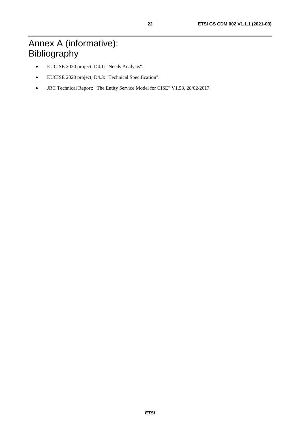- <span id="page-21-0"></span>• EUCISE 2020 project, D4.1: "Needs Analysis".
- EUCISE 2020 project, D4.3: "Technical Specification".
- JRC Technical Report: "The Entity Service Model for CISE" V1.53, 28/02/2017.